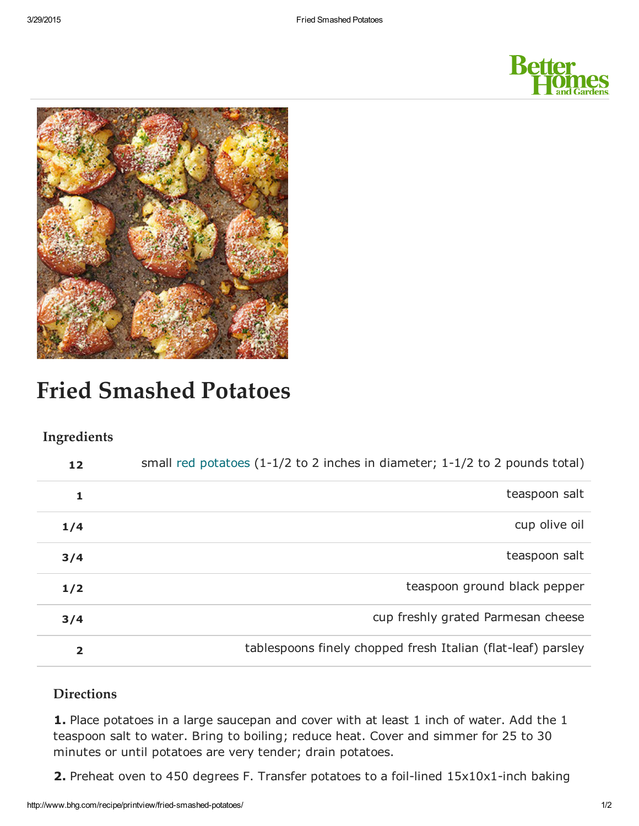



# Fried Smashed Potatoes

## Ingredients

| 12                      | small red potatoes $(1-1/2$ to 2 inches in diameter; $1-1/2$ to 2 pounds total) |
|-------------------------|---------------------------------------------------------------------------------|
| 1                       | teaspoon salt                                                                   |
| 1/4                     | cup olive oil                                                                   |
| 3/4                     | teaspoon salt                                                                   |
| 1/2                     | teaspoon ground black pepper                                                    |
| 3/4                     | cup freshly grated Parmesan cheese                                              |
| $\overline{\mathbf{2}}$ | tablespoons finely chopped fresh Italian (flat-leaf) parsley                    |

## **Directions**

1. Place potatoes in a large saucepan and cover with at least 1 inch of water. Add the 1 teaspoon salt to water. Bring to boiling; reduce heat. Cover and simmer for 25 to 30 minutes or until potatoes are very tender; drain potatoes.

2. Preheat oven to 450 degrees F. Transfer potatoes to a foil-lined  $15x10x1$ -inch baking